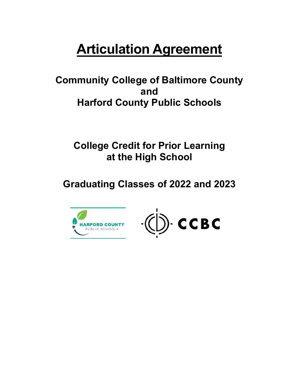# **Articulation Agreement**

 **Community College of Baltimore County Harford County Public Schools and** 

 **College Credit for Prior Learning at the High School** 

**Graduating Classes of 2022 and 2023** 



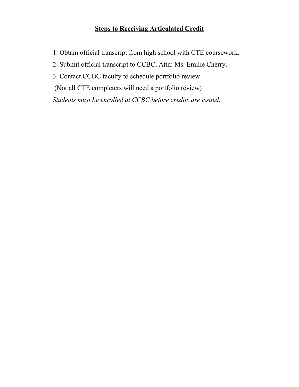## **Steps to Receiving Articulated Credit**

- 1. Obtain official transcript from high school with CTE coursework.
- 2. Submit official transcript to CCBC, Attn: Ms. Emilie Cherry.
- 3. Contact CCBC faculty to schedule portfolio review.
- (Not all CTE completers will need a portfolio review)

*Students must be enrolled at CCBC before credits are issued.*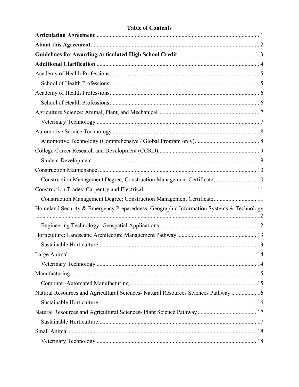## **Table of Contents**

| Construction Management Degree; Construction Management Certificate; 10                 |  |
|-----------------------------------------------------------------------------------------|--|
|                                                                                         |  |
| Construction Management Degree; Construction Management Certificate 11                  |  |
| Homeland Security & Emergency Preparedness; Geographic Information Systems & Technology |  |
|                                                                                         |  |
|                                                                                         |  |
|                                                                                         |  |
|                                                                                         |  |
|                                                                                         |  |
|                                                                                         |  |
|                                                                                         |  |
| Natural Resources and Agricultural Sciences- Natural Resources Sciences Pathway  16     |  |
|                                                                                         |  |
|                                                                                         |  |
|                                                                                         |  |
|                                                                                         |  |
|                                                                                         |  |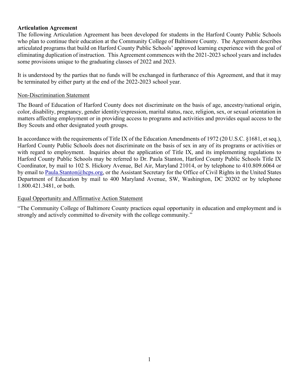## <span id="page-3-0"></span>**Articulation Agreement**

 eliminating duplication of instruction. This Agreement commences with the 2021-2023 school years and includes some provisions unique to the graduating classes of 2022 and 2023. The following Articulation Agreement has been developed for students in the Harford County Public Schools who plan to continue their education at the Community College of Baltimore County. The Agreement describes articulated programs that build on Harford County Public Schools' approved learning experience with the goal of

 be terminated by either party at the end of the 2022-2023 school year. It is understood by the parties that no funds will be exchanged in furtherance of this Agreement, and that it may

#### Non-Discrimination Statement

 color, disability, pregnancy, gender identity/expression, marital status, race, religion, sex, or sexual orientation in The Board of Education of Harford County does not discriminate on the basis of age, ancestry/national origin, matters affecting employment or in providing access to programs and activities and provides equal access to the Boy Scouts and other designated youth groups.

In accordance with the requirements of Title IX of the Education Amendments of 1972 (20 U.S.C. §1681, et seq.), Harford County Public Schools does not discriminate on the basis of sex in any of its programs or activities or with regard to employment. Inquiries about the application of Title IX, and its implementing regulations to Harford County Public Schools may be referred to Dr. Paula Stanton, Harford County Public Schools Title IX Coordinator, by mail to 102 S. Hickory Avenue, Bel Air, Maryland 21014, or by telephone to 410.809.6064 or by email to [Paula.Stanton@hcps.org,](mailto:Paula.Stanton@hcps.org) or the Assistant Secretary for the Office of Civil Rights in the United States Department of Education by mail to 400 Maryland Avenue, SW, Washington, DC 20202 or by telephone 1.800.421.3481, or both.

#### Equal Opportunity and Affirmative Action Statement

"The Community College of Baltimore County practices equal opportunity in education and employment and is strongly and actively committed to diversity with the college community."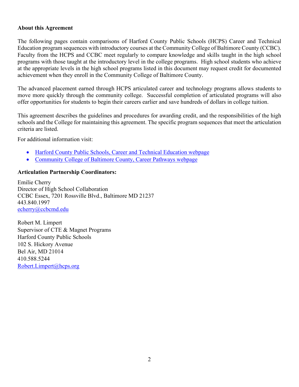## <span id="page-4-0"></span>**About this Agreement**

 at the appropriate levels in the high school programs listed in this document may request credit for documented The following pages contain comparisons of Harford County Public Schools (HCPS) Career and Technical Education program sequences with introductory courses at the Community College of Baltimore County (CCBC). Faculty from the HCPS and CCBC meet regularly to compare knowledge and skills taught in the high school programs with those taught at the introductory level in the college programs. High school students who achieve achievement when they enroll in the Community College of Baltimore County.

 offer opportunities for students to begin their careers earlier and save hundreds of dollars in college tuition. The advanced placement earned through HCPS articulated career and technology programs allows students to move more quickly through the community college. Successful completion of articulated programs will also

criteria are listed. This agreement describes the guidelines and procedures for awarding credit, and the responsibilities of the high schools and the College for maintaining this agreement. The specific program sequences that meet the articulation

For additional information visit:

- [Harford County Public Schools, Career and Technical Education webpage](https://www.hcps.org/departments/curriculum/CareerTechnology.aspx)
- [Community College of Baltimore County, Career Pathways webpage](http://www.ccbcmd.edu/programs-and-courses/early-college-access-programs/career-pathways)

## **Articulation Partnership Coordinators:**

Emilie Cherry Director of High School Collaboration CCBC Essex, 7201 Rossville Blvd., Baltimore MD 21237 443.840.1997

echerry@ccbcmd.edu<br>Robert M. Limpert 102 S. Hickory Avenue Bel Air, MD 21014 Robert.Limpert@hcps.org Supervisor of CTE & Magnet Programs Harford County Public Schools 410.588.5244 [Robert.Limpert@hcps.org](mailto:Robert.Limpert@hcps.org) 2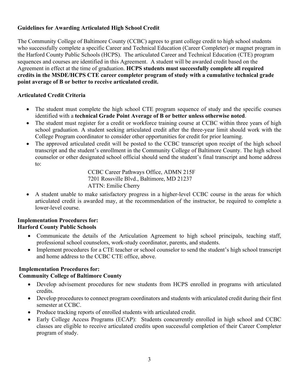## <span id="page-5-0"></span>**Guidelines for Awarding Articulated High School Credit**

The Community College of Baltimore County (CCBC) agrees to grant college credit to high school students who successfully complete a specific Career and Technical Education (Career Completer) or magnet program in the Harford County Public Schools (HCPS). The articulated Career and Technical Education (CTE) program sequences and courses are identified in this Agreement. A student will be awarded credit based on the Agreement in effect at the time of graduation. **HCPS students must successfully complete all required credits in the MSDE/HCPS CTE career completer program of study with a cumulative technical grade point average of B or better to receive articulated credit.** 

## **Articulated Credit Criteria**

- • The student must complete the high school CTE program sequence of study and the specific courses identified with a **technical Grade Point Average of B or better unless otherwise noted**.
- The student must register for a credit or workforce training course at CCBC within three years of high school graduation. A student seeking articulated credit after the three-year limit should work with the College Program coordinator to consider other opportunities for credit for prior learning.
- The approved articulated credit will be posted to the CCBC transcript upon receipt of the high school transcript and the student's enrollment in the Community College of Baltimore County. The high school counselor or other designated school official should send the student's final transcript and home address to:

 CCBC Career Pathways Office, ADMN 215F ATTN: Emilie Cherry 7201 Rossville Blvd., Baltimore, MD 21237

 • A student unable to make satisfactory progress in a higher-level CCBC course in the areas for which articulated credit is awarded may, at the recommendation of the instructor, be required to complete a lower-level course.

## **Implementation Procedures for: Harford County Public Schools**

- Communicate the details of the Articulation Agreement to high school principals, teaching staff, professional school counselors, work-study coordinator, parents, and students.
- Implement procedures for a CTE teacher or school counselor to send the student's high school transcript and home address to the CCBC CTE office, above.

## **Implementation Procedures for: Community College of Baltimore County**

- Develop advisement procedures for new students from HCPS enrolled in programs with articulated credits.
- Develop procedures to connect program coordinators and students with articulated credit during their first semester at CCBC.
- Produce tracking reports of enrolled students with articulated credit.
- • Early College Access Programs (ECAP): Students concurrently enrolled in high school and CCBC classes are eligible to receive articulated credits upon successful completion of their Career Completer program of study.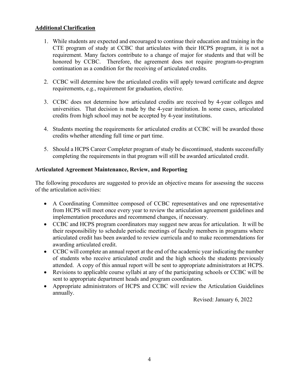## <span id="page-6-0"></span>**Additional Clarification**

- 1. While students are expected and encouraged to continue their education and training in the CTE program of study at CCBC that articulates with their HCPS program, it is not a requirement. Many factors contribute to a change of major for students and that will be honored by CCBC. Therefore, the agreement does not require program-to-program continuation as a condition for the receiving of articulated credits.
- 2. CCBC will determine how the articulated credits will apply toward certificate and degree requirements, e.g., requirement for graduation, elective.
- 3. CCBC does not determine how articulated credits are received by 4-year colleges and universities. That decision is made by the 4-year institution. In some cases, articulated credits from high school may not be accepted by 4-year institutions.
- 4. Students meeting the requirements for articulated credits at CCBC will be awarded those credits whether attending full time or part time.
- 5. Should a HCPS Career Completer program of study be discontinued, students successfully completing the requirements in that program will still be awarded articulated credit.

## **Articulated Agreement Maintenance, Review, and Reporting**

The following procedures are suggested to provide an objective means for assessing the success of the articulation activities:

- A Coordinating Committee composed of CCBC representatives and one representative from HCPS will meet once every year to review the articulation agreement guidelines and implementation procedures and recommend changes, if necessary.
- CCBC and HCPS program coordinators may suggest new areas for articulation. It will be their responsibility to schedule periodic meetings of faculty members in programs where articulated credit has been awarded to review curricula and to make recommendations for awarding articulated credit.
- CCBC will complete an annual report at the end of the academic year indicating the number of students who receive articulated credit and the high schools the students previously attended. A copy of this annual report will be sent to appropriate administrators at HCPS.
- Revisions to applicable course syllabi at any of the participating schools or CCBC will be sent to appropriate department heads and program coordinators.
- annually. • Appropriate administrators of HCPS and CCBC will review the Articulation Guidelines

Revised: January 6, 2022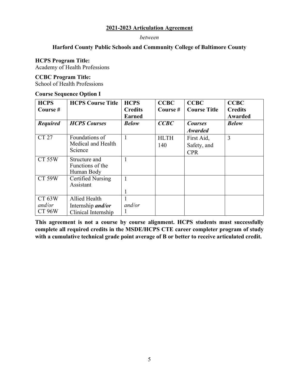#### *between*

## **Harford County Public Schools and Community College of Baltimore County**

#### **HCPS Program Title:**

<span id="page-7-0"></span>Academy of Health Professions

#### **CCBC Program Title:**

<span id="page-7-1"></span>School of Health Professions

## **Course Sequence Option I**

| <b>HCPS</b>     | <b>HCPS Course Title</b> | <b>HCPS</b>    | <b>CCBC</b> | <b>CCBC</b>         | <b>CCBC</b>    |
|-----------------|--------------------------|----------------|-------------|---------------------|----------------|
| Course#         |                          | <b>Credits</b> | Course #    | <b>Course Title</b> | <b>Credits</b> |
|                 |                          | <b>Earned</b>  |             |                     | Awarded        |
| <b>Required</b> | <b>HCPS</b> Courses      | <b>Below</b>   | CCBC        | <b>Courses</b>      | <b>Below</b>   |
|                 |                          |                |             | <b>Awarded</b>      |                |
| <b>CT 27</b>    | Foundations of           | 1              | <b>HLTH</b> | First Aid,          | 3              |
|                 | Medical and Health       |                | 140         | Safety, and         |                |
|                 | Science                  |                |             | <b>CPR</b>          |                |
| <b>CT 55W</b>   | Structure and            |                |             |                     |                |
|                 | Functions of the         |                |             |                     |                |
|                 | Human Body               |                |             |                     |                |
| <b>CT 59W</b>   | <b>Certified Nursing</b> | 1              |             |                     |                |
|                 | Assistant                |                |             |                     |                |
|                 |                          |                |             |                     |                |
| CT 63W          | Allied Health            | 1              |             |                     |                |
| and/or          | Internship <i>and/or</i> | and/or         |             |                     |                |
| CT 96W          | Clinical Internship      |                |             |                     |                |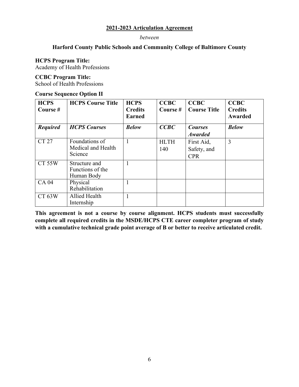#### *between*

#### **Harford County Public Schools and Community College of Baltimore County**

#### **HCPS Program Title:**

<span id="page-8-0"></span>Academy of Health Professions

#### **CCBC Program Title:**

<span id="page-8-1"></span>School of Health Professions

#### **Course Sequence Option II**

| <b>HCPS</b><br>Course # | <b>HCPS Course Title</b>                        | <b>HCPS</b><br><b>Credits</b><br><b>Earned</b> | <b>CCBC</b><br>Course # | <b>CCBC</b><br><b>Course Title</b>      | <b>CCBC</b><br><b>Credits</b><br>Awarded |
|-------------------------|-------------------------------------------------|------------------------------------------------|-------------------------|-----------------------------------------|------------------------------------------|
| <b>Required</b>         | <b>HCPS</b> Courses                             | <b>Below</b>                                   | CCBC                    | <b>Courses</b><br><b>Awarded</b>        | <b>Below</b>                             |
| CT 27                   | Foundations of<br>Medical and Health<br>Science | 1                                              | <b>HLTH</b><br>140      | First Aid,<br>Safety, and<br><b>CPR</b> | 3                                        |
| <b>CT 55W</b>           | Structure and<br>Functions of the<br>Human Body |                                                |                         |                                         |                                          |
| <b>CA 04</b>            | Physical<br>Rehabilitation                      |                                                |                         |                                         |                                          |
| CT 63W                  | Allied Health<br>Internship                     | $\mathbf{1}$                                   |                         |                                         |                                          |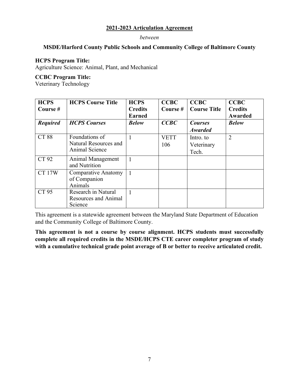#### *between*

## **MSDE/Harford County Public Schools and Community College of Baltimore County**

## **HCPS Program Title:**

<span id="page-9-0"></span>Agriculture Science: Animal, Plant, and Mechanical

#### **CCBC Program Title:**

<span id="page-9-1"></span>Veterinary Technology

| <b>HCPS</b><br>Course $#$ | <b>HCPS Course Title</b> | <b>HCPS</b><br><b>Credits</b><br><b>Earned</b> | <b>CCBC</b><br>Course $#$ | <b>CCBC</b><br><b>Course Title</b> | <b>CCBC</b><br><b>Credits</b><br>Awarded |
|---------------------------|--------------------------|------------------------------------------------|---------------------------|------------------------------------|------------------------------------------|
| <b>Required</b>           | <b>HCPS</b> Courses      | <b>Below</b>                                   | CCBC                      | <b>Courses</b>                     | <b>Below</b>                             |
|                           |                          |                                                |                           | <b>Awarded</b>                     |                                          |
| <b>CT 88</b>              | Foundations of           |                                                | <b>VETT</b>               | Intro. to                          | $\overline{2}$                           |
|                           | Natural Resources and    |                                                | 106                       | Veterinary                         |                                          |
|                           | Animal Science           |                                                |                           | Tech.                              |                                          |
| CT 92                     | Animal Management        |                                                |                           |                                    |                                          |
|                           | and Nutrition            |                                                |                           |                                    |                                          |
| <b>CT 17W</b>             | Comparative Anatomy      |                                                |                           |                                    |                                          |
|                           | of Companion             |                                                |                           |                                    |                                          |
|                           | Animals                  |                                                |                           |                                    |                                          |
| CT 95                     | Research in Natural      |                                                |                           |                                    |                                          |
|                           | Resources and Animal     |                                                |                           |                                    |                                          |
|                           | Science                  |                                                |                           |                                    |                                          |

This agreement is a statewide agreement between the Maryland State Department of Education and the Community College of Baltimore County.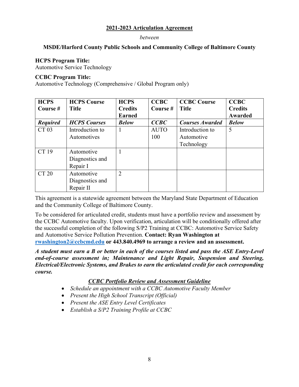#### *between*

## **MSDE/Harford County Public Schools and Community College of Baltimore County**

## **HCPS Program Title:**

<span id="page-10-0"></span>Automotive Service Technology

#### **CCBC Program Title:**

<span id="page-10-1"></span>Automotive Technology (Comprehensive / Global Program only)

| <b>HCPS</b>     | <b>HCPS Course</b>  | <b>HCPS</b>    | <b>CCBC</b> | <b>CCBC Course</b>     | <b>CCBC</b>    |
|-----------------|---------------------|----------------|-------------|------------------------|----------------|
| Course #        | <b>Title</b>        | <b>Credits</b> | Course #    | <b>Title</b>           | <b>Credits</b> |
|                 |                     | <b>Earned</b>  |             |                        | Awarded        |
| <b>Required</b> | <b>HCPS</b> Courses | <b>Below</b>   | CCBC        | <b>Courses Awarded</b> | <b>Below</b>   |
| CT 03           | Introduction to     |                | <b>AUTO</b> | Introduction to        | 5              |
|                 | Automotives         |                | 100         | Automotive             |                |
|                 |                     |                |             | Technology             |                |
| CT 19           | Automotive          |                |             |                        |                |
|                 | Diagnostics and     |                |             |                        |                |
|                 | Repair I            |                |             |                        |                |
| <b>CT 20</b>    | Automotive          | $\overline{2}$ |             |                        |                |
|                 | Diagnostics and     |                |             |                        |                |
|                 | Repair II           |                |             |                        |                |

This agreement is a statewide agreement between the Maryland State Department of Education and the Community College of Baltimore County.

To be considered for articulated credit, students must have a portfolio review and assessment by the CCBC Automotive faculty. Upon verification, articulation will be conditionally offered after the successful completion of the following S/P2 Training at CCBC: Automotive Service Safety and Automotive Service Pollution Prevention. **Contact: Ryan Washington at [rwashington2@ccbcmd.edu](mailto:rwashington2@ccbcmd.edu) or 443.840.4969 to arrange a review and an assessment.** 

*A student must earn a B or better in each of the courses listed and pass the ASE Entry-Level end-of-course assessment in; Maintenance and Light Repair, Suspension and Steering, Electrical/Electronic Systems, and Brakes to earn the articulated credit for each corresponding course.* 

## *CCBC Portfolio Review and Assessment Guideline*

- *Schedule an appointment with a CCBC Automotive Faculty Member*
- *Present the High School Transcript (Official)*
- *Present the ASE Entry Level Certificates*
- *Establish a S/P2 Training Profile at CCBC*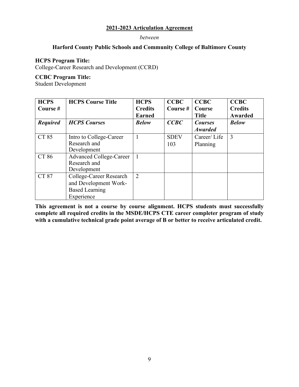#### *between*

## **Harford County Public Schools and Community College of Baltimore County**

#### **HCPS Program Title:**

<span id="page-11-0"></span>College-Career Research and Development (CCRD)

#### **CCBC Program Title:**

<span id="page-11-1"></span>Student Development

| <b>HCPS</b>     | <b>HCPS Course Title</b> | <b>HCPS</b>    | <b>CCBC</b> | <b>CCBC</b>    | <b>CCBC</b>    |
|-----------------|--------------------------|----------------|-------------|----------------|----------------|
| Course #        |                          | <b>Credits</b> | Course #    | Course         | <b>Credits</b> |
|                 |                          | <b>Earned</b>  |             | <b>Title</b>   | Awarded        |
| <b>Required</b> | <b>HCPS</b> Courses      | <b>Below</b>   | CCBC        | <b>Courses</b> | <b>Below</b>   |
|                 |                          |                |             | <b>Awarded</b> |                |
| CT 85           | Intro to College-Career  |                | <b>SDEV</b> | Career/Life    | 3              |
|                 | Research and             |                | 103         | Planning       |                |
|                 | Development              |                |             |                |                |
| <b>CT 86</b>    | Advanced College-Career  |                |             |                |                |
|                 | Research and             |                |             |                |                |
|                 | Development              |                |             |                |                |
| <b>CT 87</b>    | College-Career Research  | $\overline{2}$ |             |                |                |
|                 | and Development Work-    |                |             |                |                |
|                 | <b>Based Learning</b>    |                |             |                |                |
|                 | Experience               |                |             |                |                |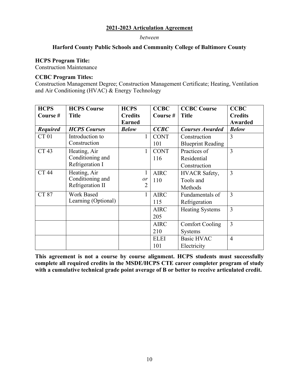#### *between*

## **Harford County Public Schools and Community College of Baltimore County**

#### **HCPS Program Title:**

<span id="page-12-0"></span>Construction Maintenance

#### **CCBC Program Titles:**

<span id="page-12-1"></span>Construction Management Degree; Construction Management Certificate; Heating, Ventilation and Air Conditioning (HVAC) & Energy Technology

| <b>HCPS</b>      | <b>HCPS Course</b>  | <b>HCPS</b>    | <b>CCBC</b> | <b>CCBC Course</b>       | <b>CCBC</b>    |
|------------------|---------------------|----------------|-------------|--------------------------|----------------|
| Course #         | <b>Title</b>        | <b>Credits</b> | Course#     | <b>Title</b>             | <b>Credits</b> |
|                  |                     | <b>Earned</b>  |             |                          | Awarded        |
| <b>Required</b>  | <b>HCPS Courses</b> | <b>Below</b>   | CCBC        | <b>Courses Awarded</b>   | <b>Below</b>   |
| <b>CT01</b>      | Introduction to     | 1              | <b>CONT</b> | Construction             | 3              |
|                  | Construction        |                | 101         | <b>Blueprint Reading</b> |                |
| CT <sub>43</sub> | Heating, Air        | $\mathbf{1}$   | <b>CONT</b> | Practices of             | $\overline{3}$ |
|                  | Conditioning and    |                | 116         | Residential              |                |
|                  | Refrigeration I     |                |             | Construction             |                |
| <b>CT 44</b>     | Heating, Air        | 1              | <b>AIRC</b> | <b>HVACR Safety,</b>     | 3              |
|                  | Conditioning and    | or             | 110         | Tools and                |                |
|                  | Refrigeration II    | 2              |             | Methods                  |                |
| <b>CT 87</b>     | Work Based          | $\mathbf{1}$   | <b>AIRC</b> | Fundamentals of          | $\overline{3}$ |
|                  | Learning (Optional) |                | 115         | Refrigeration            |                |
|                  |                     |                | <b>AIRC</b> | <b>Heating Systems</b>   | $\overline{3}$ |
|                  |                     |                | 205         |                          |                |
|                  |                     |                | <b>AIRC</b> | <b>Comfort Cooling</b>   | $\overline{3}$ |
|                  |                     |                | 210         | <b>Systems</b>           |                |
|                  |                     |                | <b>ELEI</b> | <b>Basic HVAC</b>        | $\overline{4}$ |
|                  |                     |                | 101         | Electricity              |                |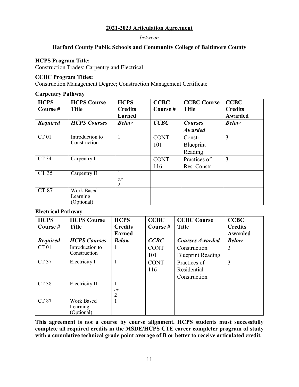#### *between*

## **Harford County Public Schools and Community College of Baltimore County**

#### **HCPS Program Title:**

<span id="page-13-0"></span>Construction Trades: Carpentry and Electrical

#### **CCBC Program Titles:**

<span id="page-13-1"></span>Construction Management Degree; Construction Management Certificate

#### **Carpentry Pathway**

| <b>HCPS</b><br>Course# | <b>HCPS Course</b><br><b>Title</b> | <b>HCPS</b><br><b>Credits</b><br><b>Earned</b> | <b>CCBC</b><br>Course # | <b>CCBC Course</b><br><b>Title</b> | <b>CCBC</b><br><b>Credits</b><br>Awarded |
|------------------------|------------------------------------|------------------------------------------------|-------------------------|------------------------------------|------------------------------------------|
| <b>Required</b>        | <b>HCPS</b> Courses                | <b>Below</b>                                   | CCBC                    | <b>Courses</b>                     | <b>Below</b>                             |
|                        |                                    |                                                |                         | <b>Awarded</b>                     |                                          |
| CT 01                  | Introduction to                    | 1                                              | <b>CONT</b>             | Constr.                            | 3                                        |
|                        | Construction                       |                                                | 101                     | Blueprint                          |                                          |
|                        |                                    |                                                |                         | Reading                            |                                          |
| CT34                   | Carpentry I                        | 1                                              | <b>CONT</b>             | Practices of                       | $\overline{3}$                           |
|                        |                                    |                                                | 116                     | Res. Constr.                       |                                          |
| CT35                   | Carpentry II                       |                                                |                         |                                    |                                          |
|                        |                                    | or                                             |                         |                                    |                                          |
|                        |                                    | 2                                              |                         |                                    |                                          |
| CT 87                  | Work Based                         | 1                                              |                         |                                    |                                          |
|                        | Learning                           |                                                |                         |                                    |                                          |
|                        | (Optional)                         |                                                |                         |                                    |                                          |

#### **Electrical Pathway**

| <b>HCPS</b>      | <b>HCPS Course</b>  | <b>HCPS</b>    | <b>CCBC</b> | <b>CCBC Course</b>       | <b>CCBC</b>    |
|------------------|---------------------|----------------|-------------|--------------------------|----------------|
| Course #         | <b>Title</b>        | <b>Credits</b> | Course $#$  | <b>Title</b>             | <b>Credits</b> |
|                  |                     | <b>Earned</b>  |             |                          | Awarded        |
| <b>Required</b>  | <b>HCPS Courses</b> | <b>Below</b>   | CCBC        | <b>Courses Awarded</b>   | <b>Below</b>   |
| CT <sub>01</sub> | Introduction to     | T              | <b>CONT</b> | Construction             | 3              |
|                  | Construction        |                | 101         | <b>Blueprint Reading</b> |                |
| CT 37            | Electricity I       | 1              | <b>CONT</b> | Practices of             | 3              |
|                  |                     |                | 116         | Residential              |                |
|                  |                     |                |             | Construction             |                |
| <b>CT 38</b>     | Electricity II      |                |             |                          |                |
|                  |                     | or             |             |                          |                |
|                  |                     | 2              |             |                          |                |
| CT 87            | Work Based          | 1              |             |                          |                |
|                  | Learning            |                |             |                          |                |
|                  | (Optional)          |                |             |                          |                |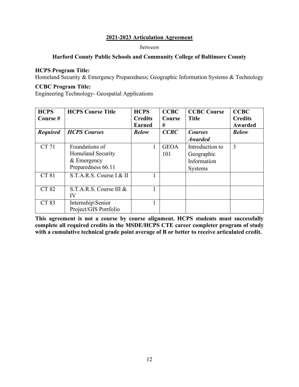#### *between*

## **Harford County Public Schools and Community College of Baltimore County**

## **HCPS Program Title:**

<span id="page-14-0"></span>Homeland Security & Emergency Preparedness; Geographic Information Systems & Technology

## **CCBC Program Title:**

<span id="page-14-1"></span>Engineering Technology- Geospatial Applications

| <b>HCPS</b><br>Course # | <b>HCPS Course Title</b> | <b>HCPS</b><br><b>Credits</b><br><b>Earned</b> | <b>CCBC</b><br>Course<br># | <b>CCBC Course</b><br><b>Title</b> | <b>CCBC</b><br><b>Credits</b><br>Awarded |
|-------------------------|--------------------------|------------------------------------------------|----------------------------|------------------------------------|------------------------------------------|
| <b>Required</b>         | <b>HCPS</b> Courses      | <b>Below</b>                                   | CCBC                       | <b>Courses</b>                     | <b>Below</b>                             |
|                         |                          |                                                |                            | <b>Awarded</b>                     |                                          |
| <b>CT71</b>             | Foundations of           |                                                | <b>GEOA</b>                | Introduction to                    | 3                                        |
|                         | <b>Homeland Security</b> |                                                | 101                        | Geographic                         |                                          |
|                         | & Emergency              |                                                |                            | Information                        |                                          |
|                         | Preparedness 66.11       |                                                |                            | Systems                            |                                          |
| CT 81                   | S.T.A.R.S. Course I & II |                                                |                            |                                    |                                          |
|                         |                          |                                                |                            |                                    |                                          |
| CT 82                   | S.T.A.R.S. Course III &  |                                                |                            |                                    |                                          |
|                         | IV                       |                                                |                            |                                    |                                          |
| CT 83                   | Internship\Senior        |                                                |                            |                                    |                                          |
|                         | Project/GIS Portfolio    |                                                |                            |                                    |                                          |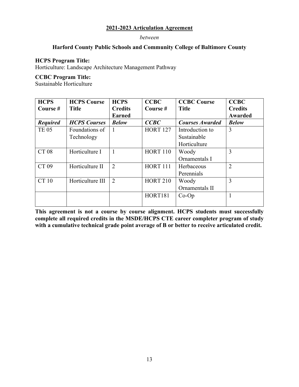#### *between*

## **Harford County Public Schools and Community College of Baltimore County**

#### **HCPS Program Title:**

<span id="page-15-0"></span>Horticulture: Landscape Architecture Management Pathway

#### **CCBC Program Title:**

<span id="page-15-1"></span>Sustainable Horticulture

| <b>HCPS</b>     | <b>HCPS Course</b>  | <b>HCPS</b>    | <b>CCBC</b>     | <b>CCBC Course</b>     | <b>CCBC</b>    |
|-----------------|---------------------|----------------|-----------------|------------------------|----------------|
| Course #        | <b>Title</b>        | <b>Credits</b> | Course #        | <b>Title</b>           | <b>Credits</b> |
|                 |                     | <b>Earned</b>  |                 |                        | Awarded        |
| <b>Required</b> | <b>HCPS</b> Courses | <b>Below</b>   | CCBC            | <b>Courses Awarded</b> | <b>Below</b>   |
| <b>TE 05</b>    | Foundations of      |                | <b>HORT 127</b> | Introduction to        | 3              |
|                 | Technology          |                |                 | Sustainable            |                |
|                 |                     |                |                 | Horticulture           |                |
| <b>CT 08</b>    | Horticulture I      |                | <b>HORT 110</b> | Woody                  | 3              |
|                 |                     |                |                 | Ornamentals I          |                |
| CT 09           | Horticulture II     | 2              | <b>HORT 111</b> | Herbaceous             | $\overline{2}$ |
|                 |                     |                |                 | Perennials             |                |
| CT 10           | Horticulture III    | 2              | <b>HORT 210</b> | Woody                  | 3              |
|                 |                     |                |                 | Ornamentals II         |                |
|                 |                     |                | HORT181         | $Co-Op$                |                |
|                 |                     |                |                 |                        |                |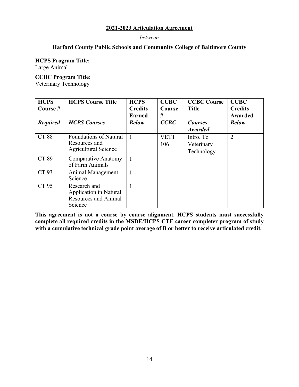*between* 

## **Harford County Public Schools and Community College of Baltimore County**

## **HCPS Program Title:**

<span id="page-16-0"></span>Large Animal

## **CCBC Program Title:**

<span id="page-16-1"></span>Veterinary Technology

| <b>HCPS</b><br>Course # | <b>HCPS Course Title</b>                                                  | <b>HCPS</b><br><b>Credits</b><br><b>Earned</b> | <b>CCBC</b><br>Course<br># | <b>CCBC Course</b><br><b>Title</b>    | <b>CCBC</b><br><b>Credits</b><br>Awarded |
|-------------------------|---------------------------------------------------------------------------|------------------------------------------------|----------------------------|---------------------------------------|------------------------------------------|
| <b>Required</b>         | <b>HCPS</b> Courses                                                       | <b>Below</b>                                   | CCBC                       | <b>Courses</b><br><b>Awarded</b>      | <b>Below</b>                             |
| <b>CT 88</b>            | Foundations of Natural<br>Resources and<br><b>Agricultural Science</b>    |                                                | <b>VETT</b><br>106         | Intro. To<br>Veterinary<br>Technology | $\overline{2}$                           |
| CT 89                   | Comparative Anatomy<br>of Farm Animals                                    |                                                |                            |                                       |                                          |
| CT 93                   | Animal Management<br>Science                                              |                                                |                            |                                       |                                          |
| CT 95                   | Research and<br>Application in Natural<br>Resources and Animal<br>Science |                                                |                            |                                       |                                          |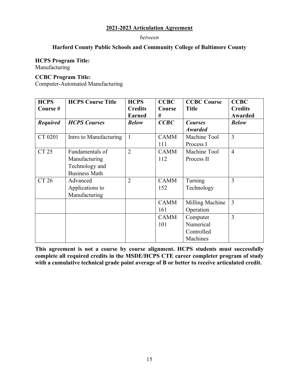#### *between*

## **Harford County Public Schools and Community College of Baltimore County**

#### **HCPS Program Title:**

<span id="page-17-0"></span>Manufacturing

## **CCBC Program Title:**

<span id="page-17-1"></span>Computer-Automated Manufacturing

| <b>HCPS</b>     | <b>HCPS Course Title</b> | <b>HCPS</b>    | <b>CCBC</b> | <b>CCBC Course</b> | <b>CCBC</b>    |
|-----------------|--------------------------|----------------|-------------|--------------------|----------------|
| Course #        |                          | <b>Credits</b> | Course      | <b>Title</b>       | <b>Credits</b> |
|                 |                          | <b>Earned</b>  | #           |                    | Awarded        |
| <b>Required</b> | <b>HCPS</b> Courses      | <b>Below</b>   | CCBC        | <b>Courses</b>     | <b>Below</b>   |
|                 |                          |                |             | <b>Awarded</b>     |                |
| CT 0201         | Intro to Manufacturing   | $\mathbf{1}$   | <b>CAMM</b> | Machine Tool       | $\overline{3}$ |
|                 |                          |                | 111         | Process I          |                |
| <b>CT 25</b>    | Fundamentals of          | $\overline{2}$ | <b>CAMM</b> | Machine Tool       | $\overline{4}$ |
|                 | Manufacturing            |                | 112         | Process II         |                |
|                 | Technology and           |                |             |                    |                |
|                 | <b>Business Math</b>     |                |             |                    |                |
| CT 26           | Advanced                 | $\overline{2}$ | <b>CAMM</b> | Turning            | 3              |
|                 | Applications to          |                | 152         | Technology         |                |
|                 | Manufacturing            |                |             |                    |                |
|                 |                          |                | <b>CAMM</b> | Milling Machine    | 3              |
|                 |                          |                | 161         | Operation          |                |
|                 |                          |                | <b>CAMM</b> | Computer           | 3              |
|                 |                          |                | 101         | Numerical          |                |
|                 |                          |                |             | Controlled         |                |
|                 |                          |                |             | Machines           |                |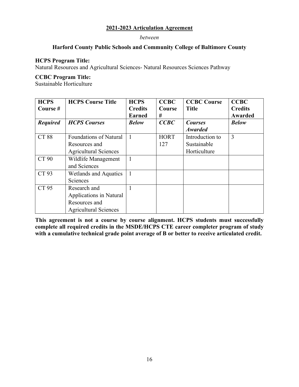#### *between*

## **Harford County Public Schools and Community College of Baltimore County**

## **HCPS Program Title:**

<span id="page-18-0"></span>Natural Resources and Agricultural Sciences- Natural Resources Sciences Pathway

#### **CCBC Program Title:**

<span id="page-18-1"></span>Sustainable Horticulture

| <b>HCPS</b>     | <b>HCPS Course Title</b>      | <b>HCPS</b>    | <b>CCBC</b> | <b>CCBC Course</b> | <b>CCBC</b>    |
|-----------------|-------------------------------|----------------|-------------|--------------------|----------------|
| Course #        |                               | <b>Credits</b> | Course      | <b>Title</b>       | <b>Credits</b> |
|                 |                               | <b>Earned</b>  | #           |                    | Awarded        |
| <b>Required</b> | <b>HCPS</b> Courses           | <b>Below</b>   | CCBC        | <b>Courses</b>     | <b>Below</b>   |
|                 |                               |                |             | <b>Awarded</b>     |                |
| <b>CT 88</b>    | <b>Foundations of Natural</b> | 1              | <b>HORT</b> | Introduction to    | 3              |
|                 | Resources and                 |                | 127         | Sustainable        |                |
|                 | <b>Agricultural Sciences</b>  |                |             | Horticulture       |                |
| CT 90           | Wildlife Management           | 1              |             |                    |                |
|                 | and Sciences                  |                |             |                    |                |
| CT 93           | Wetlands and Aquatics         | 1              |             |                    |                |
|                 | Sciences                      |                |             |                    |                |
| CT 95           | Research and                  |                |             |                    |                |
|                 | Applications in Natural       |                |             |                    |                |
|                 | Resources and                 |                |             |                    |                |
|                 | <b>Agricultural Sciences</b>  |                |             |                    |                |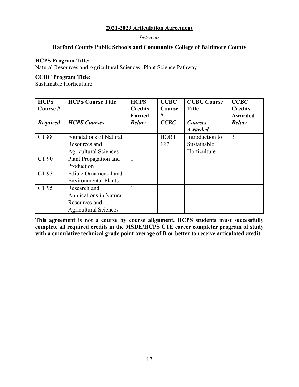#### *between*

## **Harford County Public Schools and Community College of Baltimore County**

#### **HCPS Program Title:**

<span id="page-19-0"></span>Natural Resources and Agricultural Sciences- Plant Science Pathway

#### **CCBC Program Title:**

<span id="page-19-1"></span>Sustainable Horticulture

| <b>HCPS</b>     | <b>HCPS Course Title</b>      | <b>HCPS</b>    | <b>CCBC</b> | <b>CCBC Course</b> | <b>CCBC</b>    |
|-----------------|-------------------------------|----------------|-------------|--------------------|----------------|
| Course#         |                               | <b>Credits</b> | Course      | <b>Title</b>       | <b>Credits</b> |
|                 |                               | <b>Earned</b>  | #           |                    | Awarded        |
| <b>Required</b> | <b>HCPS</b> Courses           | <b>Below</b>   | CCBC        | <b>Courses</b>     | <b>Below</b>   |
|                 |                               |                |             | <b>Awarded</b>     |                |
| <b>CT 88</b>    | <b>Foundations of Natural</b> |                | <b>HORT</b> | Introduction to    | 3              |
|                 | Resources and                 |                | 127         | Sustainable        |                |
|                 | <b>Agricultural Sciences</b>  |                |             | Horticulture       |                |
| CT 90           | Plant Propagation and         |                |             |                    |                |
|                 | Production                    |                |             |                    |                |
| CT 93           | Edible Ornamental and         |                |             |                    |                |
|                 | <b>Environmental Plants</b>   |                |             |                    |                |
| CT 95           | Research and                  |                |             |                    |                |
|                 | Applications in Natural       |                |             |                    |                |
|                 | Resources and                 |                |             |                    |                |
|                 | <b>Agricultural Sciences</b>  |                |             |                    |                |